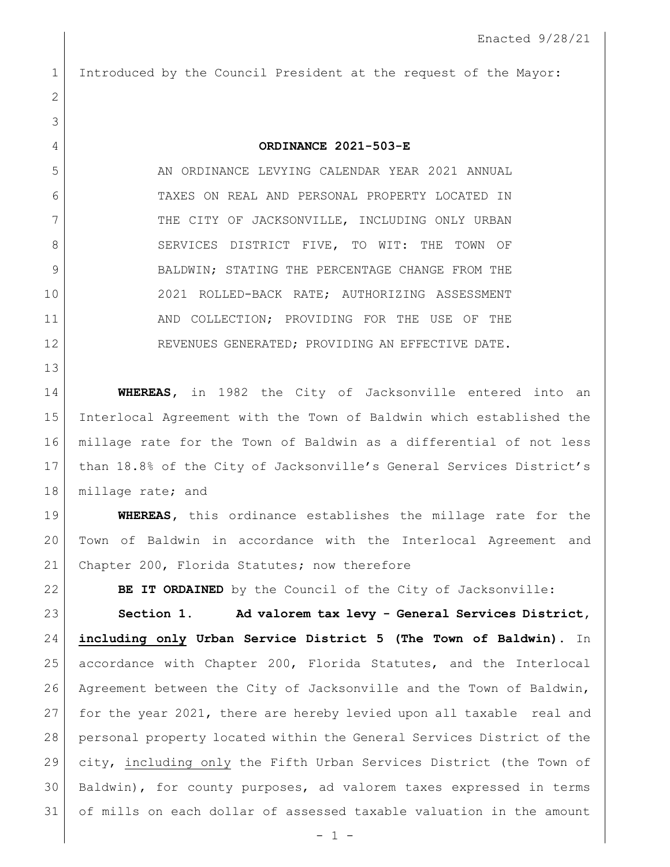## Introduced by the Council President at the request of the Mayor:

**ORDINANCE 2021-503-E**

 AN ORDINANCE LEVYING CALENDAR YEAR 2021 ANNUAL TAXES ON REAL AND PERSONAL PROPERTY LOCATED IN 7 THE CITY OF JACKSONVILLE, INCLUDING ONLY URBAN 8 SERVICES DISTRICT FIVE, TO WIT: THE TOWN OF 9 BALDWIN; STATING THE PERCENTAGE CHANGE FROM THE 2021 ROLLED-BACK RATE; AUTHORIZING ASSESSMENT 11 AND COLLECTION; PROVIDING FOR THE USE OF THE 12 REVENUES GENERATED; PROVIDING AN EFFECTIVE DATE.

 **WHEREAS,** in 1982 the City of Jacksonville entered into an Interlocal Agreement with the Town of Baldwin which established the millage rate for the Town of Baldwin as a differential of not less than 18.8% of the City of Jacksonville's General Services District's 18 millage rate; and

 **WHEREAS,** this ordinance establishes the millage rate for the Town of Baldwin in accordance with the Interlocal Agreement and 21 Chapter 200, Florida Statutes; now therefore

**BE IT ORDAINED** by the Council of the City of Jacksonville:

 **Section 1. Ad valorem tax levy - General Services District, including only Urban Service District 5 (The Town of Baldwin).** In accordance with Chapter 200, Florida Statutes, and the Interlocal Agreement between the City of Jacksonville and the Town of Baldwin, for the year 2021, there are hereby levied upon all taxable real and personal property located within the General Services District of the city, including only the Fifth Urban Services District (the Town of Baldwin), for county purposes, ad valorem taxes expressed in terms of mills on each dollar of assessed taxable valuation in the amount